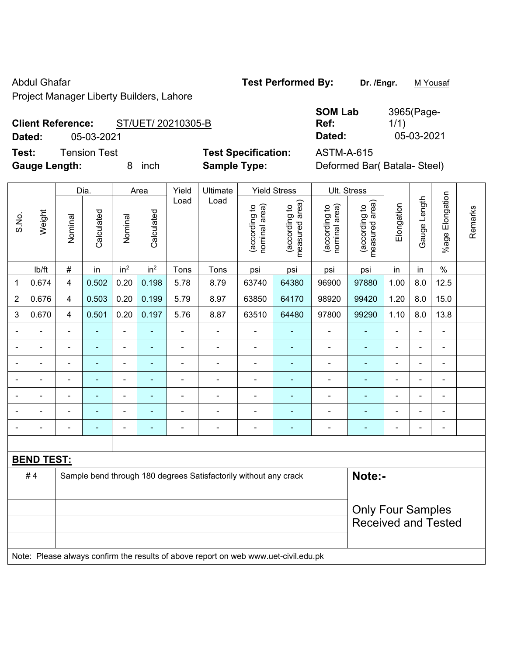Abdul Ghafar **Test Performed By:** Dr. /Engr. M Yousaf

Project Manager Liberty Builders, Lahore

# **Client Reference:** ST/UET/ 20210305-B

**Test:** Tension Test **Test Specification:** ASTM-A-615

**SOM Lab Ref:**  3965(Page-1/1) **Dated:** 05-03-2021 **Dated:** 05-03-2021

**Gauge Length:** 8 inch **Sample Type:** Deformed Bar( Batala- Steel)

|                |                   |                | Dia.           | Area            |                 | Yield          | Ultimate                                                                            |                                | <b>Yield Stress</b>             |                                | Ult. Stress                     |                |                |                       |         |
|----------------|-------------------|----------------|----------------|-----------------|-----------------|----------------|-------------------------------------------------------------------------------------|--------------------------------|---------------------------------|--------------------------------|---------------------------------|----------------|----------------|-----------------------|---------|
| S.No.          | Weight            | Nominal        | Calculated     | Nominal         | Calculated      | Load           | Load                                                                                | (according to<br>nominal area) | measured area)<br>(according to | nominal area)<br>(according to | (according to<br>measured area) | Elongation     | Gauge Length   | Elongation<br>$%$ age | Remarks |
|                | Ib/ft             | $\#$           | in             | in <sup>2</sup> | in <sup>2</sup> | Tons           | Tons                                                                                | psi                            | psi                             | psi                            | psi                             | in             | in             | $\%$                  |         |
| 1              | 0.674             | 4              | 0.502          | 0.20            | 0.198           | 5.78           | 8.79                                                                                | 63740                          | 64380                           | 96900                          | 97880                           | 1.00           | 8.0            | 12.5                  |         |
| $\overline{2}$ | 0.676             | 4              | 0.503          | 0.20            | 0.199           | 5.79           | 8.97                                                                                | 63850                          | 64170                           | 98920                          | 99420                           | 1.20           | 8.0            | 15.0                  |         |
| 3              | 0.670             | 4              | 0.501          | 0.20            | 0.197           | 5.76           | 8.87                                                                                | 63510                          | 64480                           | 97800                          | 99290                           | 1.10           | 8.0            | 13.8                  |         |
|                |                   | $\blacksquare$ | $\blacksquare$ | $\blacksquare$  | $\sim$          | $\blacksquare$ | $\blacksquare$                                                                      | $\blacksquare$                 | $\overline{\phantom{a}}$        | $\blacksquare$                 | $\blacksquare$                  | $\blacksquare$ | $\blacksquare$ | ÷,                    |         |
|                |                   | $\blacksquare$ | $\blacksquare$ | $\blacksquare$  | ٠               | ä,             | $\frac{1}{2}$                                                                       | $\blacksquare$                 |                                 | $\blacksquare$                 | $\blacksquare$                  | $\blacksquare$ | $\blacksquare$ | $\blacksquare$        |         |
|                |                   | $\blacksquare$ | $\blacksquare$ | $\blacksquare$  | $\sim$          | $\blacksquare$ | $\blacksquare$                                                                      | $\blacksquare$                 | $\blacksquare$                  | $\blacksquare$                 | $\blacksquare$                  | $\blacksquare$ |                | $\blacksquare$        |         |
|                |                   | Ē,             |                | $\blacksquare$  |                 | ÷              | $\overline{a}$                                                                      |                                |                                 | ÷                              |                                 |                |                | $\blacksquare$        |         |
|                |                   |                |                | $\blacksquare$  |                 |                | -                                                                                   |                                |                                 |                                | $\blacksquare$                  |                |                |                       |         |
|                |                   |                |                | $\blacksquare$  |                 | L.             | $\blacksquare$                                                                      |                                |                                 |                                |                                 | $\blacksquare$ |                |                       |         |
|                |                   | ä,             |                | $\blacksquare$  |                 | ÷              | $\frac{1}{2}$                                                                       | $\blacksquare$                 | $\blacksquare$                  | $\blacksquare$                 | $\blacksquare$                  | $\blacksquare$ | $\blacksquare$ | $\blacksquare$        |         |
|                |                   |                |                |                 |                 |                |                                                                                     |                                |                                 |                                |                                 |                |                |                       |         |
|                | <b>BEND TEST:</b> |                |                |                 |                 |                |                                                                                     |                                |                                 |                                |                                 |                |                |                       |         |
|                | #4                |                |                |                 |                 |                | Sample bend through 180 degrees Satisfactorily without any crack                    |                                |                                 |                                | Note:-                          |                |                |                       |         |
|                |                   |                |                |                 |                 |                |                                                                                     |                                |                                 |                                |                                 |                |                |                       |         |
|                |                   |                |                |                 |                 |                |                                                                                     |                                |                                 |                                | <b>Only Four Samples</b>        |                |                |                       |         |
|                |                   |                |                |                 |                 |                |                                                                                     |                                | <b>Received and Tested</b>      |                                |                                 |                |                |                       |         |
|                |                   |                |                |                 |                 |                |                                                                                     |                                |                                 |                                |                                 |                |                |                       |         |
|                |                   |                |                |                 |                 |                | Note: Please always confirm the results of above report on web www.uet-civil.edu.pk |                                |                                 |                                |                                 |                |                |                       |         |
|                |                   |                |                |                 |                 |                |                                                                                     |                                |                                 |                                |                                 |                |                |                       |         |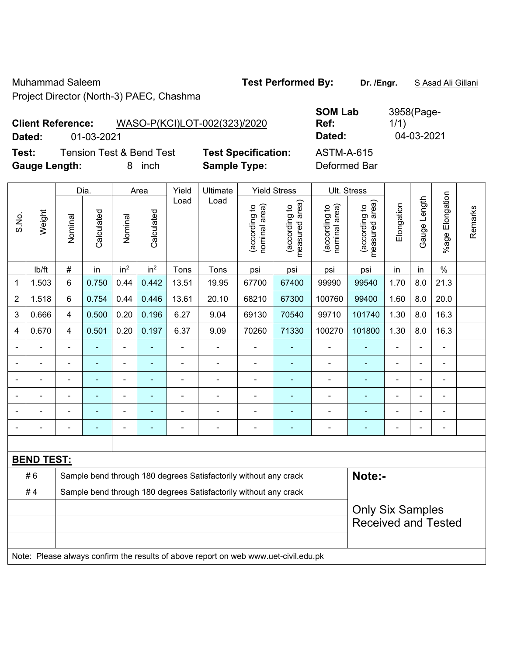Muhammad Saleem **Test Performed By: Dr. /Engr.** S Asad Ali Gillani Project Director (North-3) PAEC, Chashma

### **SOM Lab Ref:**  3958(Page-1/1) **Dated:** 01-03-2021 **Dated:** 04-03-2021

**Client Reference:** WASO-P(KCI)LOT-002(323)/2020

**Test:** Tension Test & Bend Test **Test Specification:** ASTM-A-615 **Gauge Length:** 8 inch **Sample Type:** Deformed Bar

|                | Weight            |                | Dia.       |                              | Area                     | Yield          | Ultimate                                                                            |                                | <b>Yield Stress</b>             |                                | Ult. Stress                     |                          |                |                 |         |
|----------------|-------------------|----------------|------------|------------------------------|--------------------------|----------------|-------------------------------------------------------------------------------------|--------------------------------|---------------------------------|--------------------------------|---------------------------------|--------------------------|----------------|-----------------|---------|
| S.No.          |                   | Nominal        | Calculated | Nominal                      | Calculated               | Load           | Load                                                                                | nominal area)<br>(according to | (according to<br>measured area) | (according to<br>nominal area) | (according to<br>measured area) | Elongation               | Gauge Length   | %age Elongation | Remarks |
|                | lb/ft             | #              | in         | in <sup>2</sup>              | in <sup>2</sup>          | Tons           | Tons                                                                                | psi                            | psi                             | psi                            | psi                             | in                       | in             | $\%$            |         |
| 1              | 1.503             | $6\phantom{1}$ | 0.750      | 0.44                         | 0.442                    | 13.51          | 19.95                                                                               | 67700                          | 67400                           | 99990                          | 99540                           | 1.70                     | 8.0            | 21.3            |         |
| $\overline{2}$ | 1.518             | 6              | 0.754      | 0.44                         | 0.446                    | 13.61          | 20.10                                                                               | 68210                          | 67300                           | 100760                         | 99400                           | 1.60                     | 8.0            | 20.0            |         |
| 3              | 0.666             | $\overline{4}$ | 0.500      | 0.20                         | 0.196                    | 6.27           | 9.04                                                                                | 69130                          | 70540                           | 99710                          | 101740                          | 1.30                     | 8.0            | 16.3            |         |
| 4              | 0.670             | $\overline{4}$ | 0.501      | 0.20                         | 0.197                    | 6.37           | 9.09                                                                                | 70260                          | 71330                           | 100270                         | 101800                          | 1.30                     | 8.0            | 16.3            |         |
|                |                   | $\blacksquare$ | ä,         | $\qquad \qquad \blacksquare$ | ÷                        | $\overline{a}$ | $\blacksquare$                                                                      | $\blacksquare$                 | $\blacksquare$                  | $\blacksquare$                 | $\qquad \qquad \blacksquare$    | $\frac{1}{2}$            | ä,             | $\blacksquare$  |         |
|                |                   | ä,             | ÷,         | ä,                           | ۰                        | $\blacksquare$ | $\blacksquare$                                                                      | ä,                             | ÷                               | ÷,                             | ä,                              | ÷.                       |                | $\blacksquare$  |         |
|                |                   |                |            | $\blacksquare$               | $\overline{\phantom{a}}$ |                | $\overline{a}$                                                                      | $\blacksquare$                 | $\blacksquare$                  | $\blacksquare$                 | $\blacksquare$                  | $\blacksquare$           |                | $\blacksquare$  |         |
|                |                   |                |            | $\blacksquare$               |                          |                |                                                                                     | $\blacksquare$                 |                                 |                                |                                 | $\blacksquare$           |                |                 |         |
|                |                   |                | ä,         | $\blacksquare$               |                          |                |                                                                                     | ä,                             | ٠                               |                                | ۰                               | $\blacksquare$           | $\blacksquare$ | $\blacksquare$  |         |
|                |                   | $\blacksquare$ | -          | $\qquad \qquad \blacksquare$ | ۰                        | $\blacksquare$ | $\blacksquare$                                                                      | $\blacksquare$                 | ٠                               | $\blacksquare$                 | ٠                               | $\overline{\phantom{0}}$ |                | $\blacksquare$  |         |
|                |                   |                |            |                              |                          |                |                                                                                     |                                |                                 |                                |                                 |                          |                |                 |         |
|                | <b>BEND TEST:</b> |                |            |                              |                          |                |                                                                                     |                                |                                 |                                |                                 |                          |                |                 |         |
|                | #6                |                |            |                              |                          |                | Sample bend through 180 degrees Satisfactorily without any crack                    |                                |                                 |                                | Note:-                          |                          |                |                 |         |
|                | #4                |                |            |                              |                          |                | Sample bend through 180 degrees Satisfactorily without any crack                    |                                |                                 |                                |                                 |                          |                |                 |         |
|                |                   |                |            |                              |                          |                |                                                                                     |                                |                                 |                                | <b>Only Six Samples</b>         |                          |                |                 |         |
|                |                   |                |            |                              |                          |                |                                                                                     |                                |                                 |                                | <b>Received and Tested</b>      |                          |                |                 |         |
|                |                   |                |            |                              |                          |                |                                                                                     |                                |                                 |                                |                                 |                          |                |                 |         |
|                |                   |                |            |                              |                          |                | Note: Please always confirm the results of above report on web www.uet-civil.edu.pk |                                |                                 |                                |                                 |                          |                |                 |         |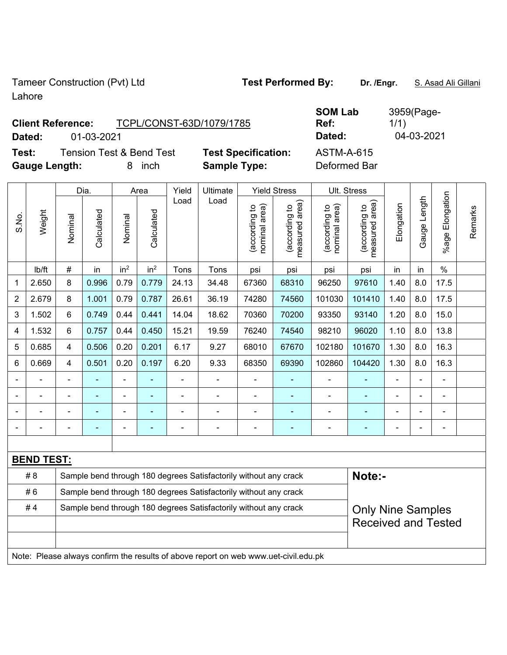Tameer Construction (Pvt) Ltd **Test Performed By:** Dr. /Engr. **S. Asad Ali Gillani** Lahore

## **Client Reference:** TCPL/CONST-63D/1079/1785 **Dated:** 01-03-2021 **Dated:** 04-03-2021

**Test:** Tension Test & Bend Test **Test Specification:** ASTM-A-615 **Gauge Length:** 8 inch **Sample Type:** Deformed Bar

|       |                   | Dia.                                                             |            | Area            |                 | Yield          | Ultimate                                                                            |                                | <b>Yield Stress</b>                         | Ult. Stress                    |                                 |                |                |                       |         |
|-------|-------------------|------------------------------------------------------------------|------------|-----------------|-----------------|----------------|-------------------------------------------------------------------------------------|--------------------------------|---------------------------------------------|--------------------------------|---------------------------------|----------------|----------------|-----------------------|---------|
| S.No. | Weight            | Nominal                                                          | Calculated | Nominal         | Calculated      | Load           | Load                                                                                | nominal area)<br>(according to | (according to<br>neasured area)<br>measured | nominal area)<br>(according to | (according to<br>measured area) | Elongation     | Gauge Length   | Elongation<br>$%$ age | Remarks |
|       | Ib/ft             | $\#$                                                             | in         | in <sup>2</sup> | in <sup>2</sup> | Tons           | Tons                                                                                | psi                            | psi                                         | psi                            | psi                             | in             | in             | $\%$                  |         |
| 1     | 2.650             | 8                                                                | 0.996      | 0.79            | 0.779           | 24.13          | 34.48                                                                               | 67360                          | 68310                                       | 96250                          | 97610                           | 1.40           | 8.0            | 17.5                  |         |
| 2     | 2.679             | 8                                                                | 1.001      | 0.79            | 0.787           | 26.61          | 36.19                                                                               | 74280                          | 74560                                       | 101030                         | 101410                          | 1.40           | 8.0            | 17.5                  |         |
| 3     | 1.502             | $6\phantom{1}$                                                   | 0.749      | 0.44            | 0.441           | 14.04          | 18.62                                                                               | 70360                          | 70200                                       | 93350                          | 93140                           | 1.20           | 8.0            | 15.0                  |         |
| 4     | 1.532             | 6                                                                | 0.757      | 0.44            | 0.450           | 15.21          | 19.59                                                                               | 76240                          | 74540                                       | 98210                          | 96020                           | 1.10           | 8.0            | 13.8                  |         |
| 5     | 0.685             | $\overline{\mathbf{4}}$                                          | 0.506      | 0.20            | 0.201           | 6.17           | 9.27                                                                                | 68010                          | 67670                                       | 102180                         | 101670                          | 1.30           | 8.0            | 16.3                  |         |
| 6     | 0.669             | $\overline{\mathbf{4}}$                                          | 0.501      | 0.20            | 0.197           | 6.20           | 9.33                                                                                | 68350                          | 69390                                       | 102860                         | 104420                          | 1.30           | 8.0            | 16.3                  |         |
|       |                   |                                                                  |            | $\blacksquare$  |                 |                |                                                                                     |                                |                                             | $\blacksquare$                 |                                 |                |                | Ē,                    |         |
|       |                   | $\blacksquare$                                                   | ۰          | ÷               | $\blacksquare$  | $\blacksquare$ | $\blacksquare$                                                                      | $\blacksquare$                 | $\blacksquare$                              | $\blacksquare$                 | ÷                               | $\blacksquare$ | $\blacksquare$ | $\blacksquare$        |         |
|       |                   | $\blacksquare$                                                   | L.         | ÷,              | ä,              | ÷              | $\blacksquare$                                                                      | ä,                             | $\blacksquare$                              | $\blacksquare$                 | ä,                              | $\blacksquare$ | L,             | $\blacksquare$        |         |
|       |                   | $\blacksquare$                                                   |            | $\blacksquare$  | $\blacksquare$  |                |                                                                                     | $\blacksquare$                 | ÷                                           | $\blacksquare$                 | ٠                               | $\blacksquare$ | Ē,             | ä,                    |         |
|       |                   |                                                                  |            |                 |                 |                |                                                                                     |                                |                                             |                                |                                 |                |                |                       |         |
|       | <b>BEND TEST:</b> |                                                                  |            |                 |                 |                |                                                                                     |                                |                                             |                                |                                 |                |                |                       |         |
|       | #8                |                                                                  |            |                 |                 |                | Sample bend through 180 degrees Satisfactorily without any crack                    |                                |                                             |                                | Note:-                          |                |                |                       |         |
|       | #6                |                                                                  |            |                 |                 |                | Sample bend through 180 degrees Satisfactorily without any crack                    |                                |                                             |                                |                                 |                |                |                       |         |
|       | #4                | Sample bend through 180 degrees Satisfactorily without any crack |            |                 |                 |                |                                                                                     |                                |                                             | <b>Only Nine Samples</b>       |                                 |                |                |                       |         |
|       |                   |                                                                  |            |                 |                 |                |                                                                                     |                                |                                             |                                | <b>Received and Tested</b>      |                |                |                       |         |
|       |                   |                                                                  |            |                 |                 |                |                                                                                     |                                |                                             |                                |                                 |                |                |                       |         |
|       |                   |                                                                  |            |                 |                 |                | Note: Please always confirm the results of above report on web www.uet-civil.edu.pk |                                |                                             |                                |                                 |                |                |                       |         |

**SOM Lab Ref:**  3959(Page-1/1)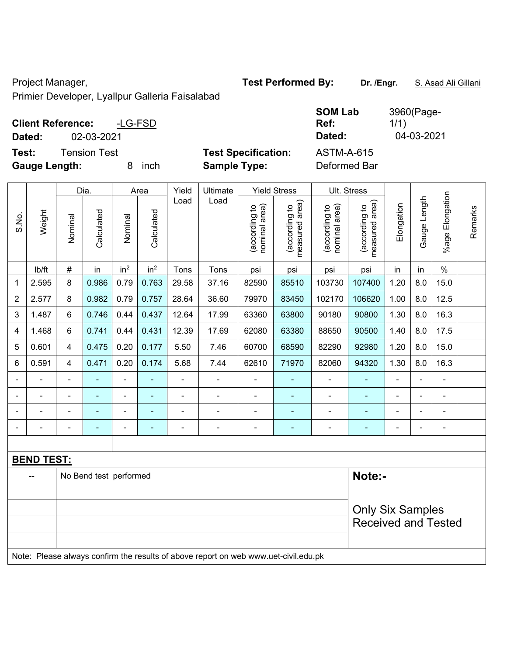Project Manager, **Test Performed By:** Dr. /Engr. **S. Asad Ali Gillani** 

Primier Developer, Lyallpur Galleria Faisalabad

| <b>Client Reference:</b>                      | -LG-FSD    |                                                   | <b>SOM Lab</b><br>Ref:            | 3960(Page-<br>1/1) |
|-----------------------------------------------|------------|---------------------------------------------------|-----------------------------------|--------------------|
| 02-03-2021<br>Dated:                          |            |                                                   | Dated:                            | 04-03-2021         |
| Test:<br>Tension Test<br><b>Gauge Length:</b> | inch<br>8. | <b>Test Specification:</b><br><b>Sample Type:</b> | <b>ASTM-A-615</b><br>Deformed Bar |                    |

|              |                   | Dia.                                           |                        | Area            |                                | Yield                           | Ultimate                                                                            | <b>Yield Stress</b>             |                            | Ult. Stress                  |                       |                         |     |                |  |
|--------------|-------------------|------------------------------------------------|------------------------|-----------------|--------------------------------|---------------------------------|-------------------------------------------------------------------------------------|---------------------------------|----------------------------|------------------------------|-----------------------|-------------------------|-----|----------------|--|
| S.No.        | Weight            | Calculated<br>Calculated<br>Nominal<br>Nominal | Load                   | Load            | nominal area)<br>(according to | measured area)<br>(according to | nominal area)<br>(according to                                                      | measured area)<br>(according to | Elongation                 | Gauge Length                 | Elongation<br>$%$ age | Remarks                 |     |                |  |
|              | lb/ft             | $\#$                                           | in                     | in <sup>2</sup> | in <sup>2</sup>                | Tons                            | Tons                                                                                | psi                             | psi                        | psi                          | psi                   | in                      | in  | $\frac{0}{0}$  |  |
| $\mathbf{1}$ | 2.595             | 8                                              | 0.986                  | 0.79            | 0.763                          | 29.58                           | 37.16                                                                               | 82590                           | 85510                      | 103730                       | 107400                | 1.20                    | 8.0 | 15.0           |  |
| 2            | 2.577             | 8                                              | 0.982                  | 0.79            | 0.757                          | 28.64                           | 36.60                                                                               | 79970                           | 83450                      | 102170                       | 106620                | 1.00                    | 8.0 | 12.5           |  |
| 3            | 1.487             | 6                                              | 0.746                  | 0.44            | 0.437                          | 12.64                           | 17.99                                                                               | 63360                           | 63800                      | 90180                        | 90800                 | 1.30                    | 8.0 | 16.3           |  |
| 4            | 1.468             | 6                                              | 0.741                  | 0.44            | 0.431                          | 12.39                           | 17.69                                                                               | 62080                           | 63380                      | 88650                        | 90500                 | 1.40                    | 8.0 | 17.5           |  |
| 5            | 0.601             | 4                                              | 0.475                  | 0.20            | 0.177                          | 5.50                            | 7.46                                                                                | 60700                           | 68590                      | 82290                        | 92980                 | 1.20                    | 8.0 | 15.0           |  |
| 6            | 0.591             | 4                                              | 0.471                  | 0.20            | 0.174                          | 5.68                            | 7.44                                                                                | 62610                           | 71970                      | 82060                        | 94320                 | 1.30                    | 8.0 | 16.3           |  |
|              |                   | L,                                             | ÷,                     | ÷,              | ä,                             | $\blacksquare$                  | $\blacksquare$                                                                      | ä,                              | ÷                          | $\blacksquare$               | ÷,                    | ä,                      |     | $\blacksquare$ |  |
|              |                   |                                                |                        | $\blacksquare$  |                                | L,                              | ä,                                                                                  | $\blacksquare$                  | ۰                          | $\blacksquare$               | ٠                     |                         |     | $\blacksquare$ |  |
|              |                   |                                                |                        |                 |                                |                                 | $\blacksquare$                                                                      | $\blacksquare$                  |                            | $\blacksquare$               | $\blacksquare$        | $\blacksquare$          |     |                |  |
|              |                   | $\blacksquare$                                 |                        | ÷               | $\blacksquare$                 | $\blacksquare$                  | $\blacksquare$                                                                      | $\blacksquare$                  | $\blacksquare$             | $\qquad \qquad \blacksquare$ | $\blacksquare$        | $\blacksquare$          |     | $\blacksquare$ |  |
|              |                   |                                                |                        |                 |                                |                                 |                                                                                     |                                 |                            |                              |                       |                         |     |                |  |
|              | <b>BEND TEST:</b> |                                                |                        |                 |                                |                                 |                                                                                     |                                 |                            |                              |                       |                         |     |                |  |
|              |                   |                                                | No Bend test performed |                 |                                |                                 |                                                                                     |                                 |                            |                              | Note:-                |                         |     |                |  |
|              |                   |                                                |                        |                 |                                |                                 |                                                                                     |                                 |                            |                              |                       |                         |     |                |  |
|              |                   |                                                |                        |                 |                                |                                 |                                                                                     |                                 |                            |                              |                       | <b>Only Six Samples</b> |     |                |  |
|              |                   |                                                |                        |                 |                                |                                 |                                                                                     |                                 | <b>Received and Tested</b> |                              |                       |                         |     |                |  |
|              |                   |                                                |                        |                 |                                |                                 |                                                                                     |                                 |                            |                              |                       |                         |     |                |  |
|              |                   |                                                |                        |                 |                                |                                 | Note: Please always confirm the results of above report on web www.uet-civil.edu.pk |                                 |                            |                              |                       |                         |     |                |  |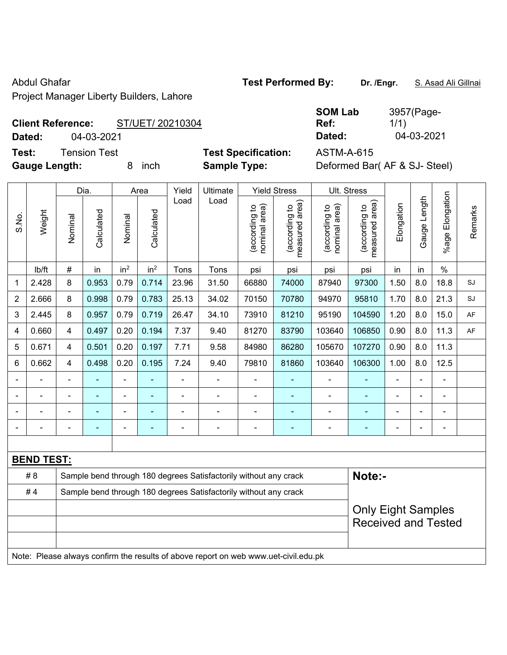Abdul Ghafar **Test Performed By:** Dr. /Engr. **S. Asad Ali Gillnai** Abdul Ghafar

Project Manager Liberty Builders, Lahore

## **Client Reference:** ST/UET/ 20210304

**Test:** Tension Test **Test Specification:** ASTM-A-615

**SOM Lab Ref:**  3957(Page-1/1) **Dated:** 04-03-2021 **Dated:** 04-03-2021

**Gauge Length:** 8 inch **Sample Type:** Deformed Bar( AF & SJ- Steel)

|                |                   |                | Dia.           | Area            |                 | Yield | Ultimate                                                                            |                                | <b>Yield Stress</b>                         |                                | Ult. Stress                     |                |                |                       |           |
|----------------|-------------------|----------------|----------------|-----------------|-----------------|-------|-------------------------------------------------------------------------------------|--------------------------------|---------------------------------------------|--------------------------------|---------------------------------|----------------|----------------|-----------------------|-----------|
| S.No.          | Weight            | Nominal        | Calculated     | Nominal         | Calculated      | Load  | Load                                                                                | nominal area)<br>(according to | (according to<br>neasured area)<br>measured | (according to<br>nominal area) | (according to<br>measured area) | Elongation     | Gauge Length   | Elongation<br>$%$ age | Remarks   |
|                | lb/ft             | $\#$           | in             | in <sup>2</sup> | in <sup>2</sup> | Tons  | Tons                                                                                | psi                            | psi                                         | psi                            | psi                             | in             | in             | $\frac{0}{0}$         |           |
| 1              | 2.428             | 8              | 0.953          | 0.79            | 0.714           | 23.96 | 31.50                                                                               | 66880                          | 74000                                       | 87940                          | 97300                           | 1.50           | 8.0            | 18.8                  | SJ        |
| $\overline{2}$ | 2.666             | 8              | 0.998          | 0.79            | 0.783           | 25.13 | 34.02                                                                               | 70150                          | 70780                                       | 94970                          | 95810                           | 1.70           | 8.0            | 21.3                  | SJ        |
| 3              | 2.445             | 8              | 0.957          | 0.79            | 0.719           | 26.47 | 34.10                                                                               | 73910                          | 81210                                       | 95190                          | 104590                          | 1.20           | 8.0            | 15.0                  | <b>AF</b> |
| 4              | 0.660             | $\overline{4}$ | 0.497          | 0.20            | 0.194           | 7.37  | 9.40                                                                                | 81270                          | 83790                                       | 103640                         | 106850                          | 0.90           | 8.0            | 11.3                  | AF        |
| 5              | 0.671             | $\overline{4}$ | 0.501          | 0.20            | 0.197           | 7.71  | 9.58                                                                                | 84980                          | 86280                                       | 105670                         | 107270                          | 0.90           | 8.0            | 11.3                  |           |
| 6              | 0.662             | $\overline{4}$ | 0.498          | 0.20            | 0.195           | 7.24  | 9.40                                                                                | 79810                          | 81860                                       | 103640                         | 106300                          | 1.00           | 8.0            | 12.5                  |           |
|                |                   | ä,             | ä,             | $\blacksquare$  |                 | ä,    | ÷,                                                                                  |                                | ÷,                                          | ÷,                             | ÷,                              | $\blacksquare$ | $\blacksquare$ | ä,                    |           |
|                |                   |                | $\blacksquare$ | $\blacksquare$  |                 |       |                                                                                     |                                |                                             |                                | L,                              |                |                | $\blacksquare$        |           |
|                |                   |                |                |                 |                 |       |                                                                                     |                                |                                             |                                |                                 |                |                |                       |           |
|                |                   |                |                | ۰               |                 | ÷     | $\blacksquare$                                                                      | $\blacksquare$                 | ٠                                           | $\blacksquare$                 | $\overline{a}$                  | $\blacksquare$ | $\blacksquare$ | $\overline{a}$        |           |
|                |                   |                |                |                 |                 |       |                                                                                     |                                |                                             |                                |                                 |                |                |                       |           |
|                | <b>BEND TEST:</b> |                |                |                 |                 |       |                                                                                     |                                |                                             |                                |                                 |                |                |                       |           |
|                | # 8               |                |                |                 |                 |       | Sample bend through 180 degrees Satisfactorily without any crack                    |                                |                                             |                                | Note:-                          |                |                |                       |           |
|                | #4                |                |                |                 |                 |       | Sample bend through 180 degrees Satisfactorily without any crack                    |                                |                                             |                                |                                 |                |                |                       |           |
|                |                   |                |                |                 |                 |       |                                                                                     |                                |                                             |                                | <b>Only Eight Samples</b>       |                |                |                       |           |
|                |                   |                |                |                 |                 |       |                                                                                     |                                |                                             |                                | <b>Received and Tested</b>      |                |                |                       |           |
|                |                   |                |                |                 |                 |       |                                                                                     |                                |                                             |                                |                                 |                |                |                       |           |
|                |                   |                |                |                 |                 |       | Note: Please always confirm the results of above report on web www.uet-civil.edu.pk |                                |                                             |                                |                                 |                |                |                       |           |